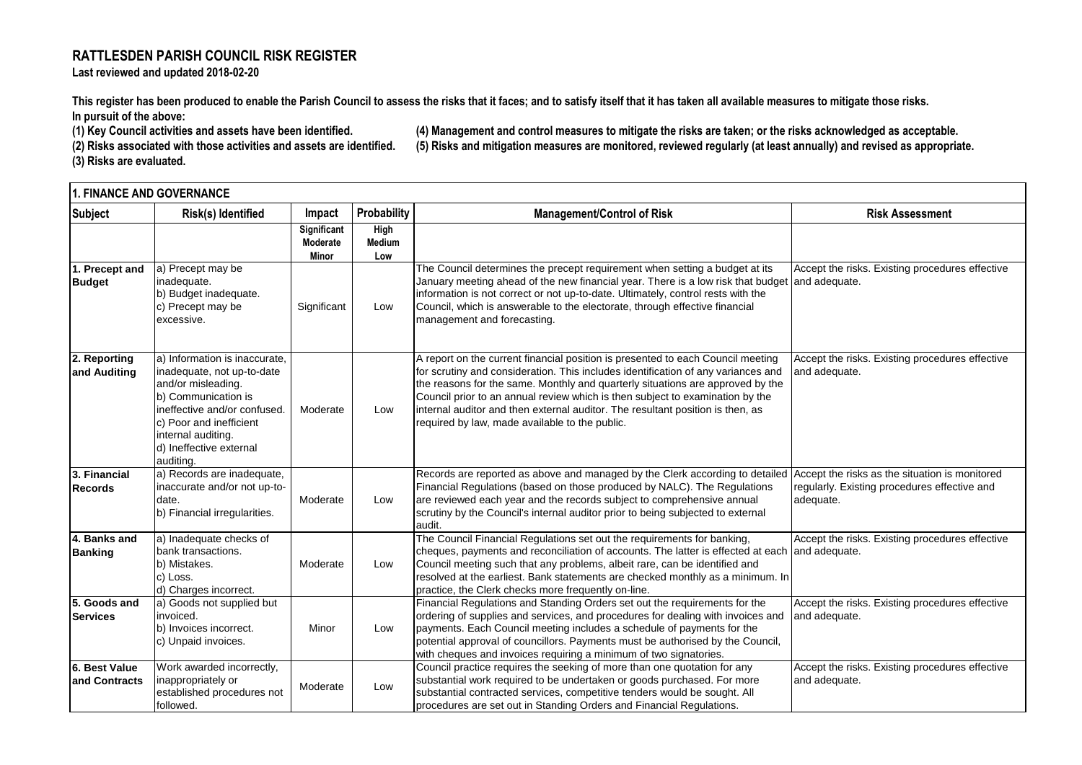## **RATTLESDEN PARISH COUNCIL RISK REGISTER Last reviewed and updated 2018-02-20**

**This register has been produced to enable the Parish Council to assess the risks that it faces; and to satisfy itself that it has taken all available measures to mitigate those risks.**

**In pursuit of the above:** 

**(3) Risks are evaluated.**

**(1) Key Council activities and assets have been identified. (4) Management and control measures to mitigate the risks are taken; or the risks acknowledged as acceptable. (2) Risks associated with those activities and assets are identified. (5) Risks and mitigation measures are monitored, reviewed regularly (at least annually) and revised as appropriate.**

|                                 | Risk(s) Identified                                                                                                                                                                                                                |                                |                       |                                                                                                                                                                                                                                                                                                                                                                                                                                                                             |                                                                                                             |
|---------------------------------|-----------------------------------------------------------------------------------------------------------------------------------------------------------------------------------------------------------------------------------|--------------------------------|-----------------------|-----------------------------------------------------------------------------------------------------------------------------------------------------------------------------------------------------------------------------------------------------------------------------------------------------------------------------------------------------------------------------------------------------------------------------------------------------------------------------|-------------------------------------------------------------------------------------------------------------|
| Subject                         |                                                                                                                                                                                                                                   | Impact                         | Probability           | <b>Management/Control of Risk</b>                                                                                                                                                                                                                                                                                                                                                                                                                                           | <b>Risk Assessment</b>                                                                                      |
|                                 |                                                                                                                                                                                                                                   | <b>Significant</b><br>Moderate | High<br><b>Medium</b> |                                                                                                                                                                                                                                                                                                                                                                                                                                                                             |                                                                                                             |
|                                 |                                                                                                                                                                                                                                   | Minor                          | Low                   |                                                                                                                                                                                                                                                                                                                                                                                                                                                                             |                                                                                                             |
| 1. Precept and                  | a) Precept may be                                                                                                                                                                                                                 |                                |                       | The Council determines the precept requirement when setting a budget at its                                                                                                                                                                                                                                                                                                                                                                                                 | Accept the risks. Existing procedures effective                                                             |
| <b>Budget</b>                   | inadequate.<br>b) Budget inadequate.<br>c) Precept may be<br>excessive.                                                                                                                                                           | Significant                    | Low                   | January meeting ahead of the new financial year. There is a low risk that budget<br>information is not correct or not up-to-date. Ultimately, control rests with the<br>Council, which is answerable to the electorate, through effective financial                                                                                                                                                                                                                         | and adequate.                                                                                               |
|                                 |                                                                                                                                                                                                                                   |                                |                       | management and forecasting.                                                                                                                                                                                                                                                                                                                                                                                                                                                 |                                                                                                             |
| 2. Reporting<br>and Auditing    | a) Information is inaccurate.<br>inadequate, not up-to-date<br>and/or misleading.<br>b) Communication is<br>ineffective and/or confused.<br>c) Poor and inefficient<br>internal auditing.<br>d) Ineffective external<br>auditing. | Moderate                       | Low                   | A report on the current financial position is presented to each Council meeting<br>for scrutiny and consideration. This includes identification of any variances and<br>the reasons for the same. Monthly and quarterly situations are approved by the<br>Council prior to an annual review which is then subject to examination by the<br>internal auditor and then external auditor. The resultant position is then, as<br>required by law, made available to the public. | Accept the risks. Existing procedures effective<br>and adequate.                                            |
| 3. Financial<br>Records         | a) Records are inadequate,<br>inaccurate and/or not up-to-<br>date.<br>b) Financial irregularities.                                                                                                                               | Moderate                       | Low                   | Records are reported as above and managed by the Clerk according to detailed<br>Financial Regulations (based on those produced by NALC). The Regulations<br>are reviewed each year and the records subject to comprehensive annual<br>scrutiny by the Council's internal auditor prior to being subjected to external<br>audit.                                                                                                                                             | Accept the risks as the situation is monitored<br>regularly. Existing procedures effective and<br>adequate. |
| 4. Banks and<br><b>Banking</b>  | a) Inadequate checks of<br>bank transactions.<br>b) Mistakes.<br>c) Loss.<br>d) Charges incorrect.                                                                                                                                | Moderate                       | Low                   | The Council Financial Regulations set out the requirements for banking,<br>cheques, payments and reconciliation of accounts. The latter is effected at each<br>Council meeting such that any problems, albeit rare, can be identified and<br>resolved at the earliest. Bank statements are checked monthly as a minimum. In<br>practice, the Clerk checks more frequently on-line.                                                                                          | Accept the risks. Existing procedures effective<br>and adequate.                                            |
| 5. Goods and<br><b>Services</b> | a) Goods not supplied but<br>invoiced.<br>b) Invoices incorrect.<br>c) Unpaid invoices.                                                                                                                                           | Minor                          | Low                   | Financial Regulations and Standing Orders set out the requirements for the<br>ordering of supplies and services, and procedures for dealing with invoices and<br>payments. Each Council meeting includes a schedule of payments for the<br>potential approval of councillors. Payments must be authorised by the Council,<br>with cheques and invoices requiring a minimum of two signatories.                                                                              | Accept the risks. Existing procedures effective<br>and adequate.                                            |
| 6. Best Value<br>and Contracts  | Work awarded incorrectly,<br>inappropriately or<br>established procedures not<br>followed.                                                                                                                                        | Moderate                       | Low                   | Council practice requires the seeking of more than one quotation for any<br>substantial work required to be undertaken or goods purchased. For more<br>substantial contracted services, competitive tenders would be sought. All<br>procedures are set out in Standing Orders and Financial Regulations.                                                                                                                                                                    | Accept the risks. Existing procedures effective<br>and adequate.                                            |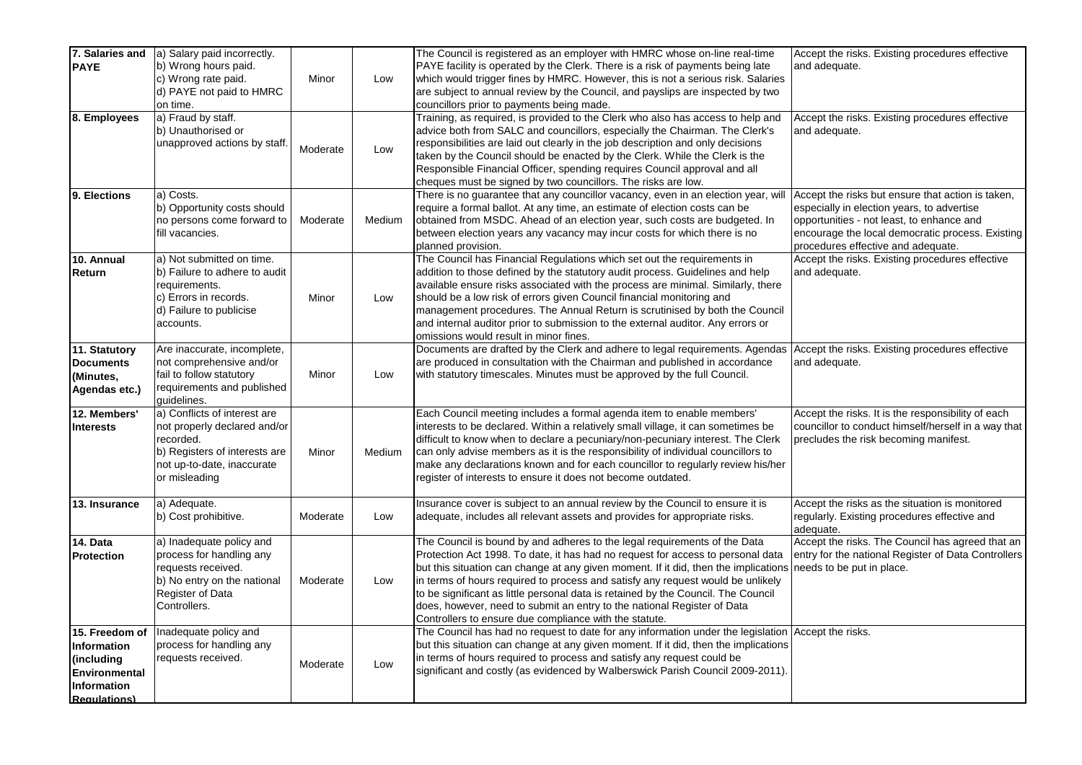| 7. Salaries and      | a) Salary paid incorrectly.                                 |          |        | The Council is registered as an employer with HMRC whose on-line real-time                                                                                             | Accept the risks. Existing procedures effective                                               |
|----------------------|-------------------------------------------------------------|----------|--------|------------------------------------------------------------------------------------------------------------------------------------------------------------------------|-----------------------------------------------------------------------------------------------|
| <b>PAYE</b>          | b) Wrong hours paid.                                        |          |        | PAYE facility is operated by the Clerk. There is a risk of payments being late                                                                                         | and adequate.                                                                                 |
|                      | c) Wrong rate paid.<br>d) PAYE not paid to HMRC             | Minor    | Low    | which would trigger fines by HMRC. However, this is not a serious risk. Salaries<br>are subject to annual review by the Council, and payslips are inspected by two     |                                                                                               |
|                      | on time.                                                    |          |        | councillors prior to payments being made.                                                                                                                              |                                                                                               |
| 8. Employees         | a) Fraud by staff.                                          |          |        | Training, as required, is provided to the Clerk who also has access to help and                                                                                        | Accept the risks. Existing procedures effective                                               |
|                      | b) Unauthorised or                                          |          |        | advice both from SALC and councillors, especially the Chairman. The Clerk's                                                                                            | and adequate.                                                                                 |
|                      | unapproved actions by staff.                                |          |        | responsibilities are laid out clearly in the job description and only decisions                                                                                        |                                                                                               |
|                      |                                                             | Moderate | Low    | taken by the Council should be enacted by the Clerk. While the Clerk is the                                                                                            |                                                                                               |
|                      |                                                             |          |        | Responsible Financial Officer, spending requires Council approval and all                                                                                              |                                                                                               |
|                      |                                                             |          |        | cheques must be signed by two councillors. The risks are low.                                                                                                          |                                                                                               |
| 9. Elections         | a) Costs.                                                   |          |        | There is no guarantee that any councillor vacancy, even in an election year, will                                                                                      | Accept the risks but ensure that action is taken,                                             |
|                      | b) Opportunity costs should                                 |          |        | require a formal ballot. At any time, an estimate of election costs can be                                                                                             | especially in election years, to advertise                                                    |
|                      | no persons come forward to<br>fill vacancies.               | Moderate | Medium | obtained from MSDC. Ahead of an election year, such costs are budgeted. In<br>between election years any vacancy may incur costs for which there is no                 | opportunities - not least, to enhance and<br>encourage the local democratic process. Existing |
|                      |                                                             |          |        | planned provision.                                                                                                                                                     | procedures effective and adequate.                                                            |
| 10. Annual           | a) Not submitted on time.                                   |          |        | The Council has Financial Regulations which set out the requirements in                                                                                                | Accept the risks. Existing procedures effective                                               |
| Return               | b) Failure to adhere to audit                               |          |        | addition to those defined by the statutory audit process. Guidelines and help                                                                                          | and adequate.                                                                                 |
|                      | requirements.                                               |          |        | available ensure risks associated with the process are minimal. Similarly, there                                                                                       |                                                                                               |
|                      | c) Errors in records.                                       | Minor    | Low    | should be a low risk of errors given Council financial monitoring and                                                                                                  |                                                                                               |
|                      | d) Failure to publicise                                     |          |        | management procedures. The Annual Return is scrutinised by both the Council                                                                                            |                                                                                               |
|                      | accounts.                                                   |          |        | and internal auditor prior to submission to the external auditor. Any errors or                                                                                        |                                                                                               |
|                      |                                                             |          |        | omissions would result in minor fines.                                                                                                                                 |                                                                                               |
| 11. Statutory        | Are inaccurate, incomplete,                                 |          |        | Documents are drafted by the Clerk and adhere to legal requirements. Agendas                                                                                           | Accept the risks. Existing procedures effective                                               |
| <b>Documents</b>     | not comprehensive and/or<br>fail to follow statutory        | Minor    | Low    | are produced in consultation with the Chairman and published in accordance<br>with statutory timescales. Minutes must be approved by the full Council.                 | and adequate.                                                                                 |
| (Minutes,            | requirements and published                                  |          |        |                                                                                                                                                                        |                                                                                               |
| Agendas etc.)        | quidelines.                                                 |          |        |                                                                                                                                                                        |                                                                                               |
| 12. Members'         | a) Conflicts of interest are                                |          |        | Each Council meeting includes a formal agenda item to enable members'                                                                                                  | Accept the risks. It is the responsibility of each                                            |
| <b>Interests</b>     | not properly declared and/or                                |          |        | interests to be declared. Within a relatively small village, it can sometimes be                                                                                       | councillor to conduct himself/herself in a way that                                           |
|                      | recorded.                                                   | Minor    |        | difficult to know when to declare a pecuniary/non-pecuniary interest. The Clerk                                                                                        | precludes the risk becoming manifest.                                                         |
|                      | b) Registers of interests are<br>not up-to-date, inaccurate |          | Medium | can only advise members as it is the responsibility of individual councillors to<br>make any declarations known and for each councillor to regularly review his/her    |                                                                                               |
|                      | or misleading                                               |          |        | register of interests to ensure it does not become outdated.                                                                                                           |                                                                                               |
|                      |                                                             |          |        |                                                                                                                                                                        |                                                                                               |
| 13. Insurance        | a) Adequate.                                                |          |        | Insurance cover is subject to an annual review by the Council to ensure it is                                                                                          | Accept the risks as the situation is monitored                                                |
|                      | b) Cost prohibitive.                                        | Moderate | Low    | adequate, includes all relevant assets and provides for appropriate risks.                                                                                             | regularly. Existing procedures effective and                                                  |
|                      |                                                             |          |        |                                                                                                                                                                        | adequate.                                                                                     |
| 14. Data             | a) Inadequate policy and                                    |          |        | The Council is bound by and adheres to the legal requirements of the Data                                                                                              | Accept the risks. The Council has agreed that an                                              |
| <b>Protection</b>    | process for handling any<br>requests received.              |          |        | Protection Act 1998. To date, it has had no request for access to personal data<br>but this situation can change at any given moment. If it did, then the implications | entry for the national Register of Data Controllers<br>needs to be put in place.              |
|                      | b) No entry on the national                                 | Moderate | Low    | in terms of hours required to process and satisfy any request would be unlikely                                                                                        |                                                                                               |
|                      | Register of Data                                            |          |        | to be significant as little personal data is retained by the Council. The Council                                                                                      |                                                                                               |
|                      | Controllers.                                                |          |        | does, however, need to submit an entry to the national Register of Data                                                                                                |                                                                                               |
|                      |                                                             |          |        | Controllers to ensure due compliance with the statute.                                                                                                                 |                                                                                               |
| 15. Freedom of       | Inadequate policy and                                       |          |        | The Council has had no request to date for any information under the legislation Accept the risks.                                                                     |                                                                                               |
| Information          | process for handling any                                    |          |        | but this situation can change at any given moment. If it did, then the implications                                                                                    |                                                                                               |
| (including           | requests received.                                          | Moderate | Low    | in terms of hours required to process and satisfy any request could be                                                                                                 |                                                                                               |
| <b>Environmental</b> |                                                             |          |        | significant and costly (as evidenced by Walberswick Parish Council 2009-2011).                                                                                         |                                                                                               |
| Information          |                                                             |          |        |                                                                                                                                                                        |                                                                                               |
| <b>Requiations</b> ) |                                                             |          |        |                                                                                                                                                                        |                                                                                               |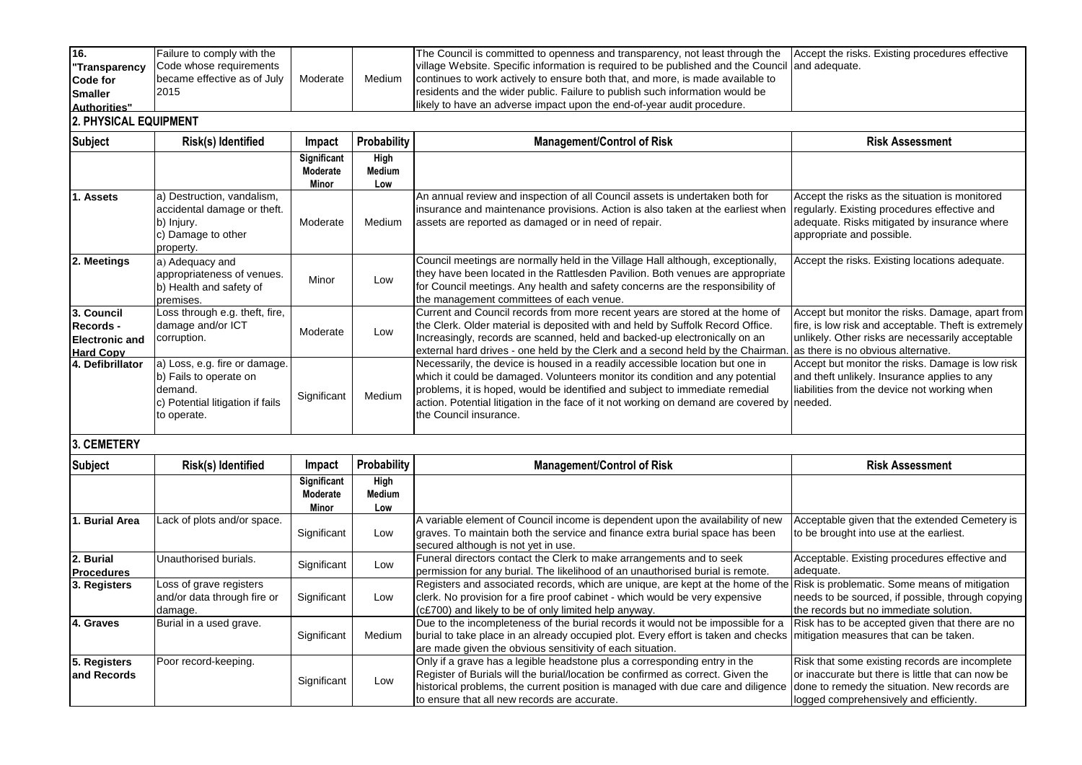| 16.           | Failure to comply with the  |          |        | The Council is committed to openness and transparency, not least through the Accept the risks. Existing procedures effective |  |
|---------------|-----------------------------|----------|--------|------------------------------------------------------------------------------------------------------------------------------|--|
| "Transparency | Code whose requirements     |          |        | village Website. Specific information is required to be published and the Council and adequate.                              |  |
| Code for      | became effective as of July | Moderate | Medium | continues to work actively to ensure both that, and more, is made available to                                               |  |
| Smaller       | 2015                        |          |        | residents and the wider public. Failure to publish such information would be                                                 |  |
| Authorities"  |                             |          |        | likely to have an adverse impact upon the end-of-year audit procedure.                                                       |  |

## **2. PHYSICAL EQUIPMENT**

| <b>Subject</b>                                                              | Risk(s) Identified                                                                                                    | Impact                           | Probability                  | <b>Management/Control of Risk</b>                                                                                                                                                                                                                                                                                                                                       | <b>Risk Assessment</b>                                                                                                                                                                              |
|-----------------------------------------------------------------------------|-----------------------------------------------------------------------------------------------------------------------|----------------------------------|------------------------------|-------------------------------------------------------------------------------------------------------------------------------------------------------------------------------------------------------------------------------------------------------------------------------------------------------------------------------------------------------------------------|-----------------------------------------------------------------------------------------------------------------------------------------------------------------------------------------------------|
|                                                                             |                                                                                                                       | Significant<br>Moderate<br>Minor | High<br><b>Medium</b><br>Low |                                                                                                                                                                                                                                                                                                                                                                         |                                                                                                                                                                                                     |
| <b>Assets</b>                                                               | a) Destruction, vandalism,<br>accidental damage or theft.<br>b) Injury.<br>c) Damage to other<br>property.            | Moderate                         | Medium                       | An annual review and inspection of all Council assets is undertaken both for<br>insurance and maintenance provisions. Action is also taken at the earliest when<br>assets are reported as damaged or in need of repair.                                                                                                                                                 | Accept the risks as the situation is monitored<br>regularly. Existing procedures effective and<br>adequate. Risks mitigated by insurance where<br>appropriate and possible.                         |
| 2. Meetings                                                                 | a) Adequacy and<br>appropriateness of venues.<br>b) Health and safety of<br>premises.                                 | Minor                            | Low                          | Council meetings are normally held in the Village Hall although, exceptionally,<br>they have been located in the Rattlesden Pavilion. Both venues are appropriate<br>for Council meetings. Any health and safety concerns are the responsibility of<br>the management committees of each venue.                                                                         | Accept the risks. Existing locations adequate.                                                                                                                                                      |
| 3. Council<br><b>Records -</b><br><b>Electronic and</b><br><b>Hard Copy</b> | Loss through e.g. theft, fire,<br>damage and/or ICT<br>corruption.                                                    | Moderate                         | Low                          | Current and Council records from more recent years are stored at the home of<br>the Clerk. Older material is deposited with and held by Suffolk Record Office.<br>Increasingly, records are scanned, held and backed-up electronically on an<br>external hard drives - one held by the Clerk and a second held by the Chairman.                                         | Accept but monitor the risks. Damage, apart from<br>fire, is low risk and acceptable. Theft is extremely<br>unlikely. Other risks are necessarily acceptable<br>as there is no obvious alternative. |
| 4. Defibrillator                                                            | a) Loss, e.g. fire or damage.<br>b) Fails to operate on<br>demand.<br>c) Potential litigation if fails<br>to operate. | Significant                      | Medium                       | Necessarily, the device is housed in a readily accessible location but one in<br>which it could be damaged. Volunteers monitor its condition and any potential<br>problems, it is hoped, would be identified and subject to immediate remedial<br>action. Potential litigation in the face of it not working on demand are covered by needed.<br>the Council insurance. | Accept but monitor the risks. Damage is low risk<br>and theft unlikely. Insurance applies to any<br>liabilities from the device not working when                                                    |

## **3. CEMETERY**

| Subject                        | Risk(s) Identified                                                | Impact                  | Probability    | <b>Management/Control of Risk</b>                                                                                                                                                                                                                                                                | <b>Risk Assessment</b>                                                                                                                                                                          |
|--------------------------------|-------------------------------------------------------------------|-------------------------|----------------|--------------------------------------------------------------------------------------------------------------------------------------------------------------------------------------------------------------------------------------------------------------------------------------------------|-------------------------------------------------------------------------------------------------------------------------------------------------------------------------------------------------|
|                                |                                                                   | Significant<br>Moderate | High<br>Medium |                                                                                                                                                                                                                                                                                                  |                                                                                                                                                                                                 |
|                                |                                                                   | Minor                   | Low            |                                                                                                                                                                                                                                                                                                  |                                                                                                                                                                                                 |
| <b>Burial Area</b>             | Lack of plots and/or space.                                       | Significant             | Low            | A variable element of Council income is dependent upon the availability of new<br>graves. To maintain both the service and finance extra burial space has been<br>secured although is not yet in use.                                                                                            | Acceptable given that the extended Cemetery is<br>to be brought into use at the earliest.                                                                                                       |
| 2. Burial<br><b>Procedures</b> | Unauthorised burials.                                             | Significant             | Low            | Funeral directors contact the Clerk to make arrangements and to seek<br>permission for any burial. The likelihood of an unauthorised burial is remote.                                                                                                                                           | Acceptable. Existing procedures effective and<br>adequate.                                                                                                                                      |
| 3. Registers                   | Loss of grave registers<br>and/or data through fire or<br>damage. | Significant             | Low            | Registers and associated records, which are unique, are kept at the home of the Risk is problematic. Some means of mitigation<br>clerk. No provision for a fire proof cabinet - which would be very expensive<br>(c£700) and likely to be of only limited help anyway.                           | needs to be sourced, if possible, through copying<br>the records but no immediate solution.                                                                                                     |
| 4. Graves                      | Burial in a used grave.                                           | Significant             | <b>Medium</b>  | Due to the incompleteness of the burial records it would not be impossible for a<br> burial to take place in an already occupied plot. Every effort is taken and checks   mitigation measures that can be taken.<br>are made given the obvious sensitivity of each situation.                    | Risk has to be accepted given that there are no                                                                                                                                                 |
| 5. Registers<br>and Records    | Poor record-keeping.                                              | Significant             | Low            | Only if a grave has a legible headstone plus a corresponding entry in the<br>Register of Burials will the burial/location be confirmed as correct. Given the<br>historical problems, the current position is managed with due care and diligence<br>to ensure that all new records are accurate. | Risk that some existing records are incomplete<br>or inaccurate but there is little that can now be<br>done to remedy the situation. New records are<br>logged comprehensively and efficiently. |